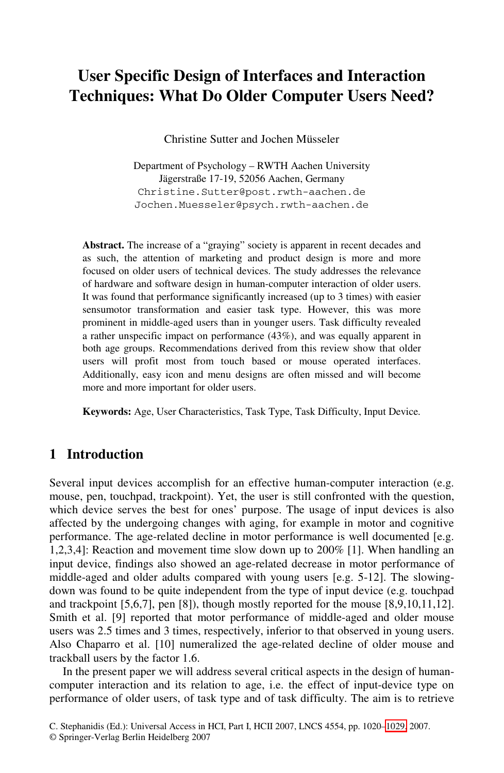# **User Specific Design of Interfaces and Interaction Techniques: What Do Older Computer Users Need?**

Christine Sutter and Jochen Müsseler

Department of Psychology – RWTH Aachen University Jägerstraße 17-19, 52056 Aachen, Germany Christine.Sutter@post.rwth-aachen.de Jochen.Muesseler@psych.rwth-aachen.de

**Abstract.** The increase of a "graying" society is apparent in recent decades and as such, the attention of marketing and product design is more and more focused on older users of technical devices. The study addresses the relevance of hardware and software design in human-computer interaction of older users. It was found that performance significantly increased (up to 3 times) with easier sensumotor transformation and easier task type. However, this was more prominent in middle-aged users than in younger users. Task difficulty revealed a rather unspecific impact on performance (43%), and was equally apparent in both age groups. Recommendations derived from this review show that older users will profit most from touch based or mouse operated interfaces. Additionally, easy icon and menu designs are often missed and will become more and more important for older users.

**Keywords:** Age, User Characteristics, Task Type, Task Difficulty, Input Device.

### **1 Introduction**

Several input devices accomplish for an effective human-computer interaction (e.g. mouse, pen, touchpad, trackpoint). Yet, the user is still confronted with the question, which device serves the best for ones' purpose. The usage of input devices is also affected by the undergoing changes with aging, for example in motor and cognitive performance. The age-related decline in motor performance is well documented [e.g. 1,2,3,4]: Reaction and movement time slow down up to 200% [1]. When handling an input device, findings also showed an age-related decrease in motor performance of middle-aged and older adults compared with young users [e.g. 5-12]. The slowingdown was found to be quite independent from the type of input device (e.g. touchpad and trackpoint  $[5,6,7]$ , pen  $[8]$ ), though mostly reported for the mouse  $[8,9,10,11,12]$ . Smith et al. [9] reported that motor performance of middle-aged and older mouse users was 2.5 times and 3 times, respectively, inferior to that observed in young users. Also Chaparro et al. [10] numeralized the age-related decline of older mouse and trackball users by the factor 1.6.

In the present paper we will address several critical aspects in the design of humancomputer interaction and its relation to age, i.e. the effect of input-device type on performance of older users, of task type and of task difficulty. The aim is to retrieve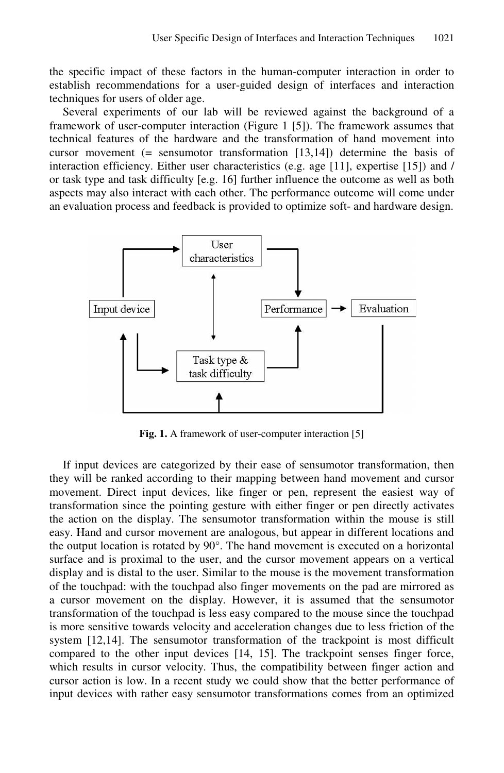the specific impact of these factors in the human-computer interaction in order to establish recommendations for a user-guided design of interfaces and interaction techniques for users of older age.

Several experiments of our lab will be reviewed against the background of a framework of user-computer interaction (Figure 1 [5]). The framework assumes that technical features of the hardware and the transformation of hand movement into cursor movement  $(=$  sensumotor transformation  $[13,14]$ ) determine the basis of interaction efficiency. Either user characteristics (e.g. age [11], expertise [15]) and / or task type and task difficulty [e.g. 16] further influence the outcome as well as both aspects may also interact with each other. The performance outcome will come under an evaluation process and feedback is provided to optimize soft- and hardware design.



**Fig. 1.** A framework of user-computer interaction [5]

If input devices are categorized by their ease of sensumotor transformation, then they will be ranked according to their mapping between hand movement and cursor movement. Direct input devices, like finger or pen, represent the easiest way of transformation since the pointing gesture with either finger or pen directly activates the action on the display. The sensumotor transformation within the mouse is still easy. Hand and cursor movement are analogous, but appear in different locations and the output location is rotated by 90°. The hand movement is executed on a horizontal surface and is proximal to the user, and the cursor movement appears on a vertical display and is distal to the user. Similar to the mouse is the movement transformation of the touchpad: with the touchpad also finger movements on the pad are mirrored as a cursor movement on the display. However, it is assumed that the sensumotor transformation of the touchpad is less easy compared to the mouse since the touchpad is more sensitive towards velocity and acceleration changes due to less friction of the system [12,14]. The sensumotor transformation of the trackpoint is most difficult compared to the other input devices [14, 15]. The trackpoint senses finger force, which results in cursor velocity. Thus, the compatibility between finger action and cursor action is low. In a recent study we could show that the better performance of input devices with rather easy sensumotor transformations comes from an optimized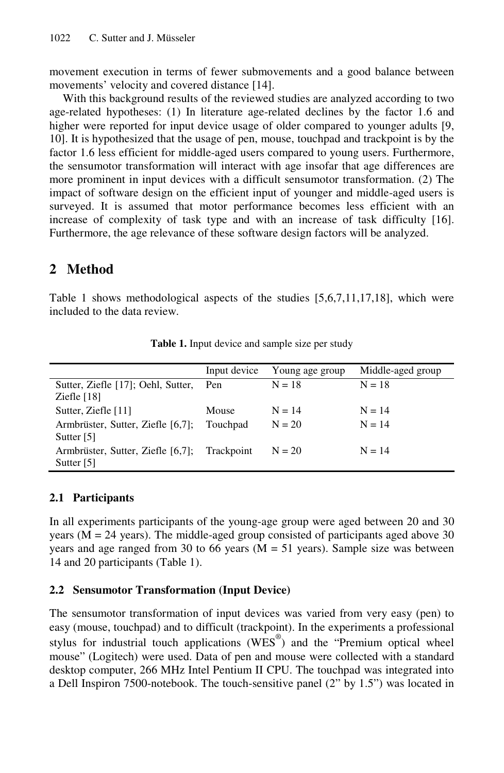movement execution in terms of fewer submovements and a good balance between movements' velocity and covered distance [14].

With this background results of the reviewed studies are analyzed according to two age-related hypotheses: (1) In literature age-related declines by the factor 1.6 and higher were reported for input device usage of older compared to younger adults [9, 10]. It is hypothesized that the usage of pen, mouse, touchpad and trackpoint is by the factor 1.6 less efficient for middle-aged users compared to young users. Furthermore, the sensumotor transformation will interact with age insofar that age differences are more prominent in input devices with a difficult sensumotor transformation. (2) The impact of software design on the efficient input of younger and middle-aged users is surveyed. It is assumed that motor performance becomes less efficient with an increase of complexity of task type and with an increase of task difficulty [16]. Furthermore, the age relevance of these software design factors will be analyzed.

### **2 Method**

Table 1 shows methodological aspects of the studies [5,6,7,11,17,18], which were included to the data review.

|                                                     | Input device | Young age group | Middle-aged group |
|-----------------------------------------------------|--------------|-----------------|-------------------|
| Sutter, Ziefle [17]; Oehl, Sutter,<br>Ziefle $[18]$ | Pen          | $N = 18$        | $N = 18$          |
| Sutter, Ziefle [11]                                 | Mouse        | $N = 14$        | $N = 14$          |
| Armbrüster, Sutter, Ziefle [6,7];<br>Sutter [5]     | Touchpad     | $N = 20$        | $N = 14$          |
| Armbrüster, Sutter, Ziefle [6,7];<br>Sutter [5]     | Trackpoint   | $N = 20$        | $N = 14$          |

**Table 1.** Input device and sample size per study

### **2.1 Participants**

In all experiments participants of the young-age group were aged between 20 and 30 years ( $M = 24$  years). The middle-aged group consisted of participants aged above 30 years and age ranged from 30 to 66 years ( $M = 51$  years). Sample size was between 14 and 20 participants (Table 1).

### **2.2 Sensumotor Transformation (Input Device)**

The sensumotor transformation of input devices was varied from very easy (pen) to easy (mouse, touchpad) and to difficult (trackpoint). In the experiments a professional stylus for industrial touch applications (WES $^{\circledast}$ ) and the "Premium optical wheel mouse" (Logitech) were used. Data of pen and mouse were collected with a standard desktop computer, 266 MHz Intel Pentium II CPU. The touchpad was integrated into a Dell Inspiron 7500-notebook. The touch-sensitive panel (2" by 1.5") was located in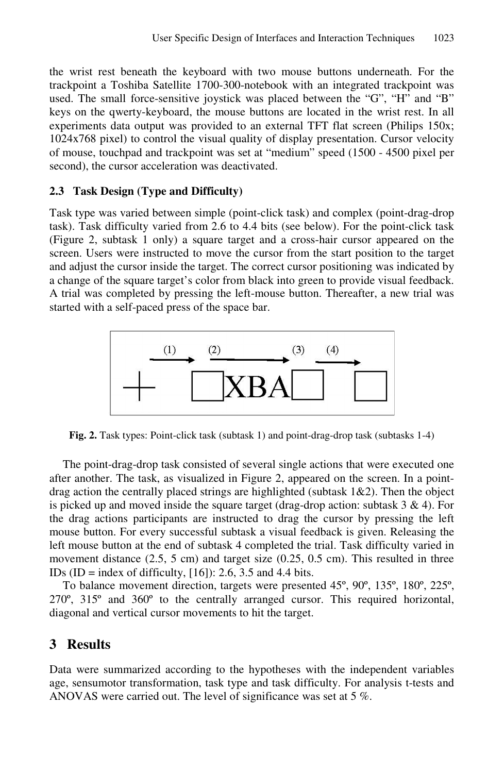the wrist rest beneath the keyboard with two mouse buttons underneath. For the trackpoint a Toshiba Satellite 1700-300-notebook with an integrated trackpoint was used. The small force-sensitive joystick was placed between the "G", "H" and "B" keys on the qwerty-keyboard, the mouse buttons are located in the wrist rest. In all experiments data output was provided to an external TFT flat screen (Philips 150x; 1024x768 pixel) to control the visual quality of display presentation. Cursor velocity of mouse, touchpad and trackpoint was set at "medium" speed (1500 - 4500 pixel per second), the cursor acceleration was deactivated.

#### **2.3 Task Design (Type and Difficulty)**

Task type was varied between simple (point-click task) and complex (point-drag-drop task). Task difficulty varied from 2.6 to 4.4 bits (see below). For the point-click task (Figure 2, subtask 1 only) a square target and a cross-hair cursor appeared on the screen. Users were instructed to move the cursor from the start position to the target and adjust the cursor inside the target. The correct cursor positioning was indicated by a change of the square target's color from black into green to provide visual feedback. A trial was completed by pressing the left-mouse button. Thereafter, a new trial was started with a self-paced press of the space bar.



**Fig. 2.** Task types: Point-click task (subtask 1) and point-drag-drop task (subtasks 1-4)

The point-drag-drop task consisted of several single actions that were executed one after another. The task, as visualized in Figure 2, appeared on the screen. In a pointdrag action the centrally placed strings are highlighted (subtask 1&2). Then the object is picked up and moved inside the square target (drag-drop action: subtask  $3 \& 4$ ). For the drag actions participants are instructed to drag the cursor by pressing the left mouse button. For every successful subtask a visual feedback is given. Releasing the left mouse button at the end of subtask 4 completed the trial. Task difficulty varied in movement distance (2.5, 5 cm) and target size (0.25, 0.5 cm). This resulted in three IDs (ID = index of difficulty,  $[16]$ ): 2.6, 3.5 and 4.4 bits.

To balance movement direction, targets were presented 45º, 90º, 135º, 180º, 225º, 270º, 315º and 360º to the centrally arranged cursor. This required horizontal, diagonal and vertical cursor movements to hit the target.

### **3 Results**

Data were summarized according to the hypotheses with the independent variables age, sensumotor transformation, task type and task difficulty. For analysis t-tests and ANOVAS were carried out. The level of significance was set at 5 %.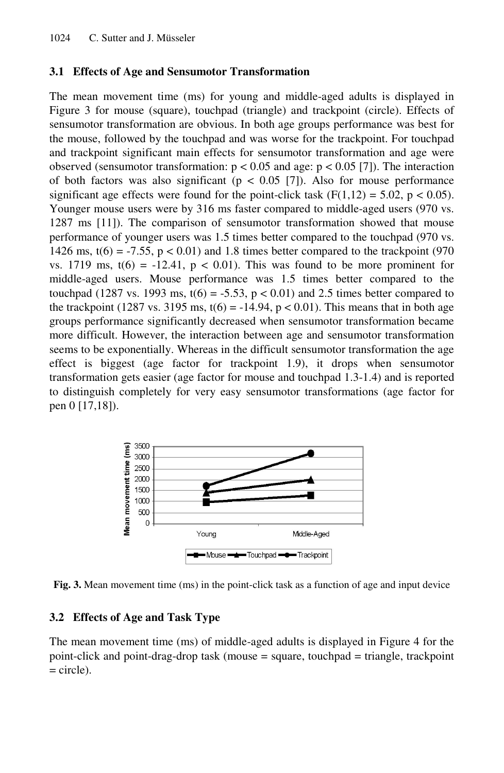#### **3.1 Effects of Age and Sensumotor Transformation**

The mean movement time (ms) for young and middle-aged adults is displayed in Figure 3 for mouse (square), touchpad (triangle) and trackpoint (circle). Effects of sensumotor transformation are obvious. In both age groups performance was best for the mouse, followed by the touchpad and was worse for the trackpoint. For touchpad and trackpoint significant main effects for sensumotor transformation and age were observed (sensumotor transformation:  $p < 0.05$  and age:  $p < 0.05$  [7]). The interaction of both factors was also significant ( $p < 0.05$  [7]). Also for mouse performance significant age effects were found for the point-click task  $(F(1,12) = 5.02, p < 0.05)$ . Younger mouse users were by 316 ms faster compared to middle-aged users (970 vs. 1287 ms [11]). The comparison of sensumotor transformation showed that mouse performance of younger users was 1.5 times better compared to the touchpad (970 vs. 1426 ms,  $t(6) = -7.55$ ,  $p < 0.01$ ) and 1.8 times better compared to the trackpoint (970) vs. 1719 ms,  $t(6) = -12.41$ ,  $p < 0.01$ ). This was found to be more prominent for middle-aged users. Mouse performance was 1.5 times better compared to the touchpad (1287 vs. 1993 ms,  $t(6) = -5.53$ ,  $p < 0.01$ ) and 2.5 times better compared to the trackpoint (1287 vs. 3195 ms,  $t(6) = -14.94$ ,  $p < 0.01$ ). This means that in both age groups performance significantly decreased when sensumotor transformation became more difficult. However, the interaction between age and sensumotor transformation seems to be exponentially. Whereas in the difficult sensumotor transformation the age effect is biggest (age factor for trackpoint 1.9), it drops when sensumotor transformation gets easier (age factor for mouse and touchpad 1.3-1.4) and is reported to distinguish completely for very easy sensumotor transformations (age factor for pen 0 [17,18]).



**Fig. 3.** Mean movement time (ms) in the point-click task as a function of age and input device

### **3.2 Effects of Age and Task Type**

The mean movement time (ms) of middle-aged adults is displayed in Figure 4 for the point-click and point-drag-drop task (mouse = square, touchpad = triangle, trackpoint  $=$  circle).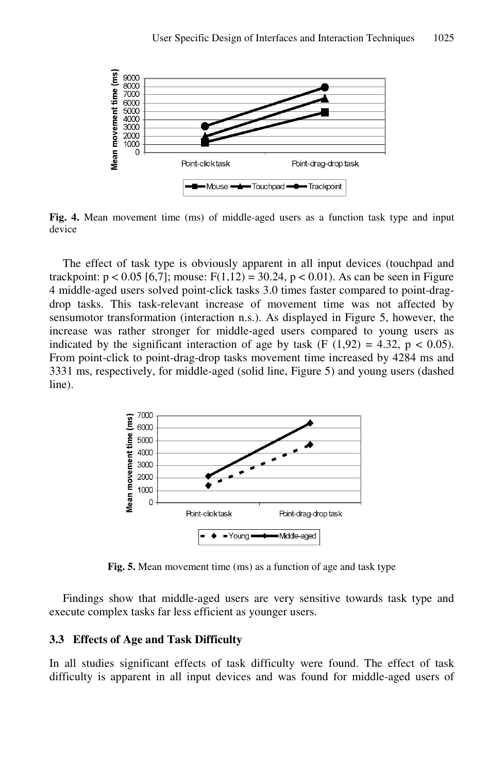

**Fig. 4.** Mean movement time (ms) of middle-aged users as a function task type and input device

The effect of task type is obviously apparent in all input devices (touchpad and trackpoint:  $p < 0.05$  [6,7]; mouse:  $F(1,12) = 30.24$ ,  $p < 0.01$ ). As can be seen in Figure 4 middle-aged users solved point-click tasks 3.0 times faster compared to point-dragdrop tasks. This task-relevant increase of movement time was not affected by sensumotor transformation (interaction n.s.). As displayed in Figure 5, however, the increase was rather stronger for middle-aged users compared to young users as indicated by the significant interaction of age by task  $(F(1,92) = 4.32, p < 0.05)$ . From point-click to point-drag-drop tasks movement time increased by 4284 ms and 3331 ms, respectively, for middle-aged (solid line, Figure 5) and young users (dashed line).



**Fig. 5.** Mean movement time (ms) as a function of age and task type

Findings show that middle-aged users are very sensitive towards task type and execute complex tasks far less efficient as younger users.

#### **3.3 Effects of Age and Task Difficulty**

In all studies significant effects of task difficulty were found. The effect of task difficulty is apparent in all input devices and was found for middle-aged users of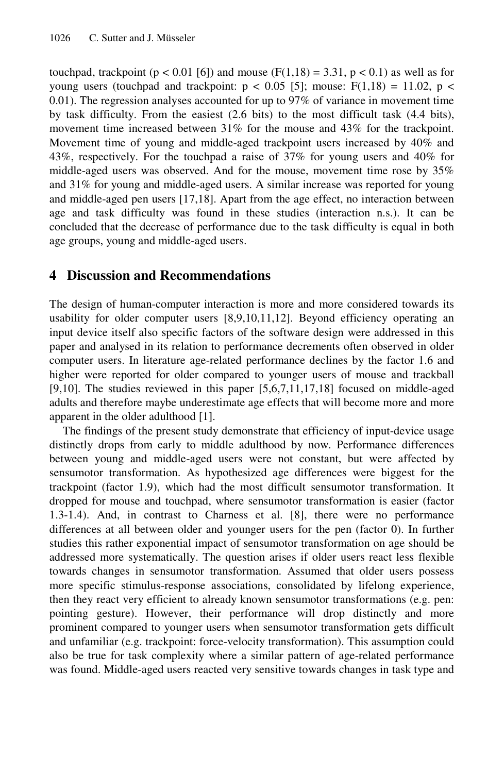touchpad, trackpoint ( $p < 0.01$  [6]) and mouse ( $F(1,18) = 3.31$ ,  $p < 0.1$ ) as well as for young users (touchpad and trackpoint:  $p < 0.05$  [5]; mouse:  $F(1,18) = 11.02$ ,  $p <$ 0.01). The regression analyses accounted for up to 97% of variance in movement time by task difficulty. From the easiest (2.6 bits) to the most difficult task (4.4 bits), movement time increased between 31% for the mouse and 43% for the trackpoint. Movement time of young and middle-aged trackpoint users increased by 40% and 43%, respectively. For the touchpad a raise of 37% for young users and 40% for middle-aged users was observed. And for the mouse, movement time rose by 35% and 31% for young and middle-aged users. A similar increase was reported for young and middle-aged pen users [17,18]. Apart from the age effect, no interaction between age and task difficulty was found in these studies (interaction n.s.). It can be concluded that the decrease of performance due to the task difficulty is equal in both age groups, young and middle-aged users.

### **4 Discussion and Recommendations**

The design of human-computer interaction is more and more considered towards its usability for older computer users [8,9,10,11,12]. Beyond efficiency operating an input device itself also specific factors of the software design were addressed in this paper and analysed in its relation to performance decrements often observed in older computer users. In literature age-related performance declines by the factor 1.6 and higher were reported for older compared to younger users of mouse and trackball [9,10]. The studies reviewed in this paper [5,6,7,11,17,18] focused on middle-aged adults and therefore maybe underestimate age effects that will become more and more apparent in the older adulthood [1].

The findings of the present study demonstrate that efficiency of input-device usage distinctly drops from early to middle adulthood by now. Performance differences between young and middle-aged users were not constant, but were affected by sensumotor transformation. As hypothesized age differences were biggest for the trackpoint (factor 1.9), which had the most difficult sensumotor transformation. It dropped for mouse and touchpad, where sensumotor transformation is easier (factor 1.3-1.4). And, in contrast to Charness et al. [8], there were no performance differences at all between older and younger users for the pen (factor 0). In further studies this rather exponential impact of sensumotor transformation on age should be addressed more systematically. The question arises if older users react less flexible towards changes in sensumotor transformation. Assumed that older users possess more specific stimulus-response associations, consolidated by lifelong experience, then they react very efficient to already known sensumotor transformations (e.g. pen: pointing gesture). However, their performance will drop distinctly and more prominent compared to younger users when sensumotor transformation gets difficult and unfamiliar (e.g. trackpoint: force-velocity transformation). This assumption could also be true for task complexity where a similar pattern of age-related performance was found. Middle-aged users reacted very sensitive towards changes in task type and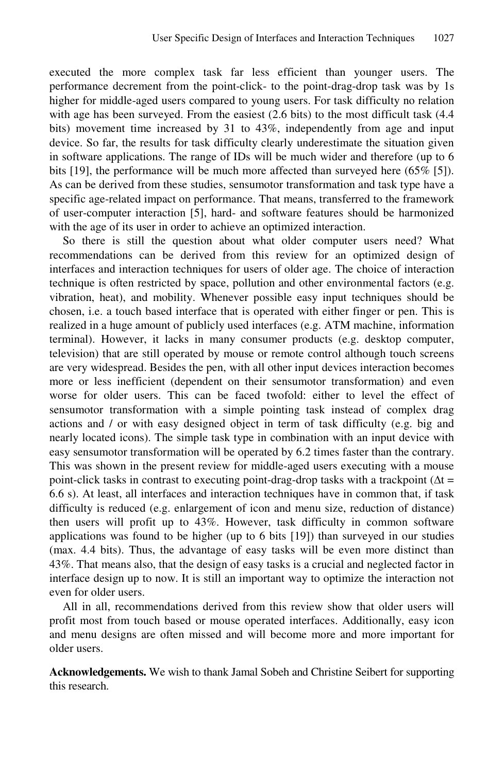executed the more complex task far less efficient than younger users. The performance decrement from the point-click- to the point-drag-drop task was by 1s higher for middle-aged users compared to young users. For task difficulty no relation with age has been surveyed. From the easiest  $(2.6 \text{ bits})$  to the most difficult task  $(4.4 \text{ s})$ bits) movement time increased by 31 to 43%, independently from age and input device. So far, the results for task difficulty clearly underestimate the situation given in software applications. The range of IDs will be much wider and therefore (up to 6 bits [19], the performance will be much more affected than surveyed here (65% [5]). As can be derived from these studies, sensumotor transformation and task type have a specific age-related impact on performance. That means, transferred to the framework of user-computer interaction [5], hard- and software features should be harmonized with the age of its user in order to achieve an optimized interaction.

So there is still the question about what older computer users need? What recommendations can be derived from this review for an optimized design of interfaces and interaction techniques for users of older age. The choice of interaction technique is often restricted by space, pollution and other environmental factors (e.g. vibration, heat), and mobility. Whenever possible easy input techniques should be chosen, i.e. a touch based interface that is operated with either finger or pen. This is realized in a huge amount of publicly used interfaces (e.g. ATM machine, information terminal). However, it lacks in many consumer products (e.g. desktop computer, television) that are still operated by mouse or remote control although touch screens are very widespread. Besides the pen, with all other input devices interaction becomes more or less inefficient (dependent on their sensumotor transformation) and even worse for older users. This can be faced twofold: either to level the effect of sensumotor transformation with a simple pointing task instead of complex drag actions and / or with easy designed object in term of task difficulty (e.g. big and nearly located icons). The simple task type in combination with an input device with easy sensumotor transformation will be operated by 6.2 times faster than the contrary. This was shown in the present review for middle-aged users executing with a mouse point-click tasks in contrast to executing point-drag-drop tasks with a trackpoint ( $\Delta t$  = 6.6 s). At least, all interfaces and interaction techniques have in common that, if task difficulty is reduced (e.g. enlargement of icon and menu size, reduction of distance) then users will profit up to 43%. However, task difficulty in common software applications was found to be higher (up to 6 bits [19]) than surveyed in our studies (max. 4.4 bits). Thus, the advantage of easy tasks will be even more distinct than 43%. That means also, that the design of easy tasks is a crucial and neglected factor in interface design up to now. It is still an important way to optimize the interaction not even for older users.

All in all, recommendations derived from this review show that older users will profit most from touch based or mouse operated interfaces. Additionally, easy icon and menu designs are often missed and will become more and more important for older users.

**Acknowledgements.** We wish to thank Jamal Sobeh and Christine Seibert for supporting this research.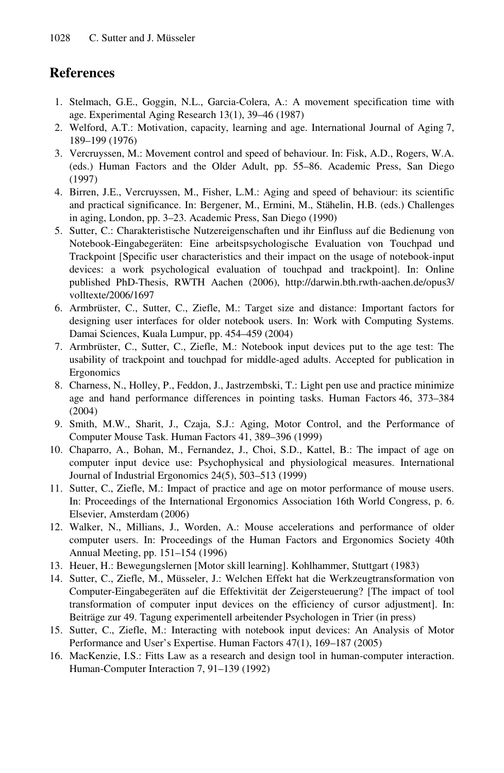## **References**

- 1. Stelmach, G.E., Goggin, N.L., Garcia-Colera, A.: A movement specification time with age. Experimental Aging Research 13(1), 39–46 (1987)
- 2. Welford, A.T.: Motivation, capacity, learning and age. International Journal of Aging 7, 189–199 (1976)
- 3. Vercruyssen, M.: Movement control and speed of behaviour. In: Fisk, A.D., Rogers, W.A. (eds.) Human Factors and the Older Adult, pp. 55–86. Academic Press, San Diego (1997)
- 4. Birren, J.E., Vercruyssen, M., Fisher, L.M.: Aging and speed of behaviour: its scientific and practical significance. In: Bergener, M., Ermini, M., Stähelin, H.B. (eds.) Challenges in aging, London, pp. 3–23. Academic Press, San Diego (1990)
- 5. Sutter, C.: Charakteristische Nutzereigenschaften und ihr Einfluss auf die Bedienung von Notebook-Eingabegeräten: Eine arbeitspsychologische Evaluation von Touchpad und Trackpoint [Specific user characteristics and their impact on the usage of notebook-input devices: a work psychological evaluation of touchpad and trackpoint]. In: Online published PhD-Thesis, RWTH Aachen (2006), http://darwin.bth.rwth-aachen.de/opus3/ volltexte/2006/1697
- 6. Armbrüster, C., Sutter, C., Ziefle, M.: Target size and distance: Important factors for designing user interfaces for older notebook users. In: Work with Computing Systems. Damai Sciences, Kuala Lumpur, pp. 454–459 (2004)
- 7. Armbrüster, C., Sutter, C., Ziefle, M.: Notebook input devices put to the age test: The usability of trackpoint and touchpad for middle-aged adults. Accepted for publication in Ergonomics
- 8. Charness, N., Holley, P., Feddon, J., Jastrzembski, T.: Light pen use and practice minimize age and hand performance differences in pointing tasks. Human Factors 46, 373–384 (2004)
- 9. Smith, M.W., Sharit, J., Czaja, S.J.: Aging, Motor Control, and the Performance of Computer Mouse Task. Human Factors 41, 389–396 (1999)
- 10. Chaparro, A., Bohan, M., Fernandez, J., Choi, S.D., Kattel, B.: The impact of age on computer input device use: Psychophysical and physiological measures. International Journal of Industrial Ergonomics 24(5), 503–513 (1999)
- 11. Sutter, C., Ziefle, M.: Impact of practice and age on motor performance of mouse users. In: Proceedings of the International Ergonomics Association 16th World Congress, p. 6. Elsevier, Amsterdam (2006)
- 12. Walker, N., Millians, J., Worden, A.: Mouse accelerations and performance of older computer users. In: Proceedings of the Human Factors and Ergonomics Society 40th Annual Meeting, pp. 151–154 (1996)
- 13. Heuer, H.: Bewegungslernen [Motor skill learning]. Kohlhammer, Stuttgart (1983)
- 14. Sutter, C., Ziefle, M., Müsseler, J.: Welchen Effekt hat die Werkzeugtransformation von Computer-Eingabegeräten auf die Effektivität der Zeigersteuerung? [The impact of tool transformation of computer input devices on the efficiency of cursor adjustment]. In: Beiträge zur 49. Tagung experimentell arbeitender Psychologen in Trier (in press)
- 15. Sutter, C., Ziefle, M.: Interacting with notebook input devices: An Analysis of Motor Performance and User's Expertise. Human Factors 47(1), 169–187 (2005)
- 16. MacKenzie, I.S.: Fitts Law as a research and design tool in human-computer interaction. Human-Computer Interaction 7, 91–139 (1992)